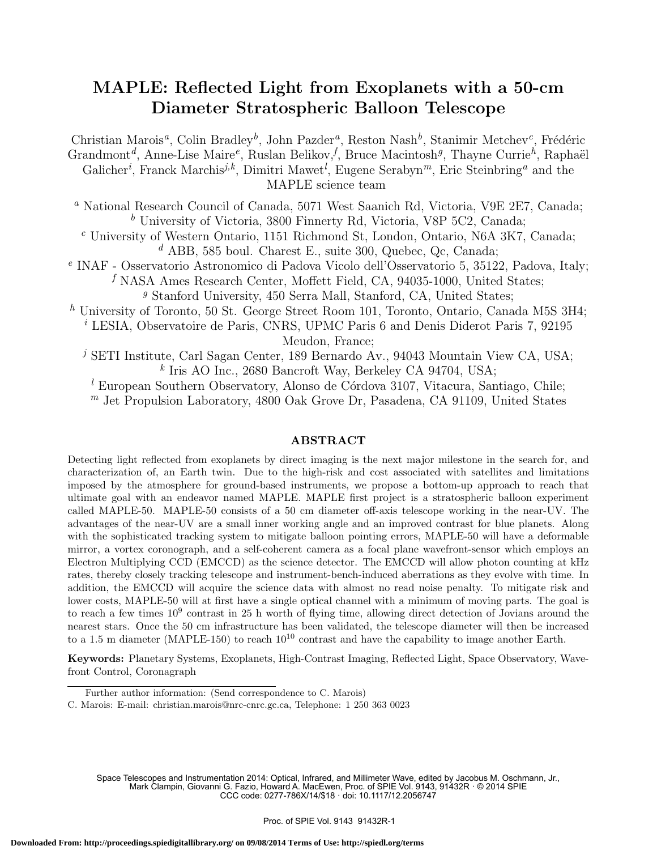# MAPLE: Reflected Light from Exoplanets with a 50-cm Diameter Stratospheric Balloon Telescope

Christian Marois<sup>a</sup>, Colin Bradley<sup>b</sup>, John Pazder<sup>a</sup>, Reston Nash<sup>b</sup>, Stanimir Metchev<sup>c</sup>, Frédéric Grandmont<sup>d</sup>, Anne-Lise Maire<sup>e</sup>, Ruslan Belikov, <sup>f</sup>, Bruce Macintosh<sup>g</sup>, Thayne Currie<sup>h</sup>, Raphaël Galicher<sup>*i*</sup>, Franck Marchis<sup>j,k</sup>, Dimitri Mawet<sup>*l*</sup>, Eugene Serabyn<sup>*m*</sup>, Eric Steinbring<sup>*a*</sup> and the MAPLE science team

<sup>a</sup> National Research Council of Canada, 5071 West Saanich Rd, Victoria, V9E 2E7, Canada;  $^b$ University of Victoria, 3800 Finnerty Rd, Victoria, V8P 5C2, Canada;

<sup>c</sup> University of Western Ontario, 1151 Richmond St, London, Ontario, N6A 3K7, Canada;  $d$  ABB, 585 boul. Charest E., suite 300, Quebec, Qc, Canada;

e INAF - Osservatorio Astronomico di Padova Vicolo dell'Osservatorio 5, 35122, Padova, Italy;  $f$  NASA Ames Research Center, Moffett Field, CA, 94035-1000, United States;

<sup>9</sup> Stanford University, 450 Serra Mall, Stanford, CA, United States;

<sup>h</sup> University of Toronto, 50 St. George Street Room 101, Toronto, Ontario, Canada M5S 3H4;

<sup>i</sup> LESIA, Observatoire de Paris, CNRS, UPMC Paris 6 and Denis Diderot Paris 7, 92195 Meudon, France;

<sup>j</sup> SETI Institute, Carl Sagan Center, 189 Bernardo Av., 94043 Mountain View CA, USA; k Iris AO Inc., 2680 Bancroft Way, Berkeley CA 94704, USA;

 $l$  European Southern Observatory, Alonso de Córdova 3107, Vitacura, Santiago, Chile;  $<sup>m</sup>$  Jet Propulsion Laboratory, 4800 Oak Grove Dr, Pasadena, CA 91109, United States</sup>

# ABSTRACT

Detecting light reflected from exoplanets by direct imaging is the next major milestone in the search for, and characterization of, an Earth twin. Due to the high-risk and cost associated with satellites and limitations imposed by the atmosphere for ground-based instruments, we propose a bottom-up approach to reach that ultimate goal with an endeavor named MAPLE. MAPLE first project is a stratospheric balloon experiment called MAPLE-50. MAPLE-50 consists of a 50 cm diameter off-axis telescope working in the near-UV. The advantages of the near-UV are a small inner working angle and an improved contrast for blue planets. Along with the sophisticated tracking system to mitigate balloon pointing errors, MAPLE-50 will have a deformable mirror, a vortex coronograph, and a self-coherent camera as a focal plane wavefront-sensor which employs an Electron Multiplying CCD (EMCCD) as the science detector. The EMCCD will allow photon counting at kHz rates, thereby closely tracking telescope and instrument-bench-induced aberrations as they evolve with time. In addition, the EMCCD will acquire the science data with almost no read noise penalty. To mitigate risk and lower costs, MAPLE-50 will at first have a single optical channel with a minimum of moving parts. The goal is to reach a few times  $10^9$  contrast in 25 h worth of flying time, allowing direct detection of Jovians around the nearest stars. Once the 50 cm infrastructure has been validated, the telescope diameter will then be increased to a 1.5 m diameter (MAPLE-150) to reach  $10^{10}$  contrast and have the capability to image another Earth.

Keywords: Planetary Systems, Exoplanets, High-Contrast Imaging, Reflected Light, Space Observatory, Wavefront Control, Coronagraph

Space Telescopes and Instrumentation 2014: Optical, Infrared, and Millimeter Wave, edited by Jacobus M. Oschmann, Jr., Mark Clampin, Giovanni G. Fazio, Howard A. MacEwen, Proc. of SPIE Vol. 9143, 91432R · © 2014 SPIE CCC code: 0277-786X/14/\$18 · doi: 10.1117/12.2056747

Further author information: (Send correspondence to C. Marois)

C. Marois: E-mail: christian.marois@nrc-cnrc.gc.ca, Telephone: 1 250 363 0023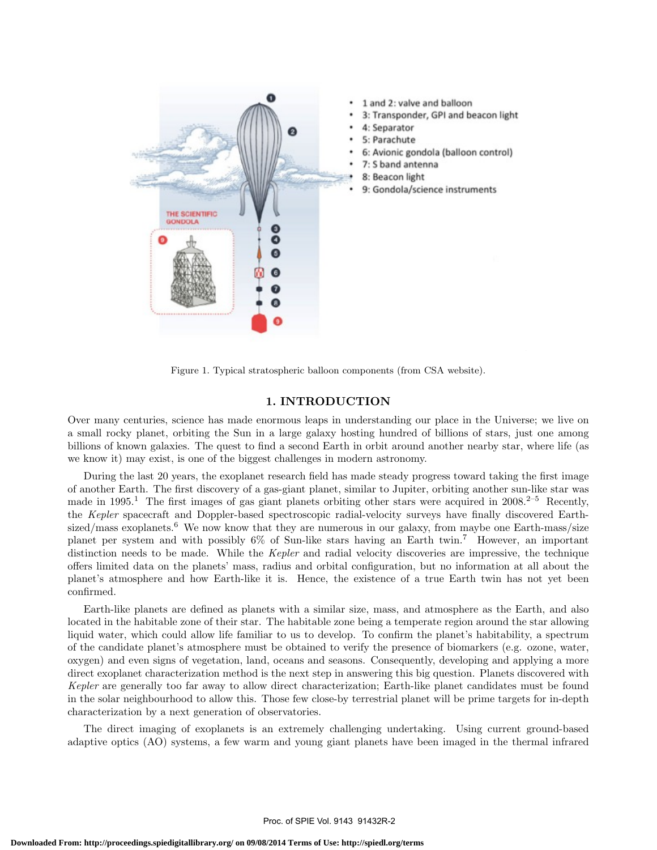

Figure 1. Typical stratospheric balloon components (from CSA website).

## 1. INTRODUCTION

Over many centuries, science has made enormous leaps in understanding our place in the Universe; we live on a small rocky planet, orbiting the Sun in a large galaxy hosting hundred of billions of stars, just one among billions of known galaxies. The quest to find a second Earth in orbit around another nearby star, where life (as we know it) may exist, is one of the biggest challenges in modern astronomy.

During the last 20 years, the exoplanet research field has made steady progress toward taking the first image of another Earth. The first discovery of a gas-giant planet, similar to Jupiter, orbiting another sun-like star was made in 1995.<sup>1</sup> The first images of gas giant planets orbiting other stars were acquired in 2008.<sup>2–5</sup> Recently, the Kepler spacecraft and Doppler-based spectroscopic radial-velocity surveys have finally discovered Earthsized/mass exoplanets.<sup>6</sup> We now know that they are numerous in our galaxy, from maybe one Earth-mass/size planet per system and with possibly 6% of Sun-like stars having an Earth twin.<sup>7</sup> However, an important distinction needs to be made. While the Kepler and radial velocity discoveries are impressive, the technique offers limited data on the planets' mass, radius and orbital configuration, but no information at all about the planet's atmosphere and how Earth-like it is. Hence, the existence of a true Earth twin has not yet been confirmed.

Earth-like planets are defined as planets with a similar size, mass, and atmosphere as the Earth, and also located in the habitable zone of their star. The habitable zone being a temperate region around the star allowing liquid water, which could allow life familiar to us to develop. To confirm the planet's habitability, a spectrum of the candidate planet's atmosphere must be obtained to verify the presence of biomarkers (e.g. ozone, water, oxygen) and even signs of vegetation, land, oceans and seasons. Consequently, developing and applying a more direct exoplanet characterization method is the next step in answering this big question. Planets discovered with Kepler are generally too far away to allow direct characterization; Earth-like planet candidates must be found in the solar neighbourhood to allow this. Those few close-by terrestrial planet will be prime targets for in-depth characterization by a next generation of observatories.

The direct imaging of exoplanets is an extremely challenging undertaking. Using current ground-based adaptive optics (AO) systems, a few warm and young giant planets have been imaged in the thermal infrared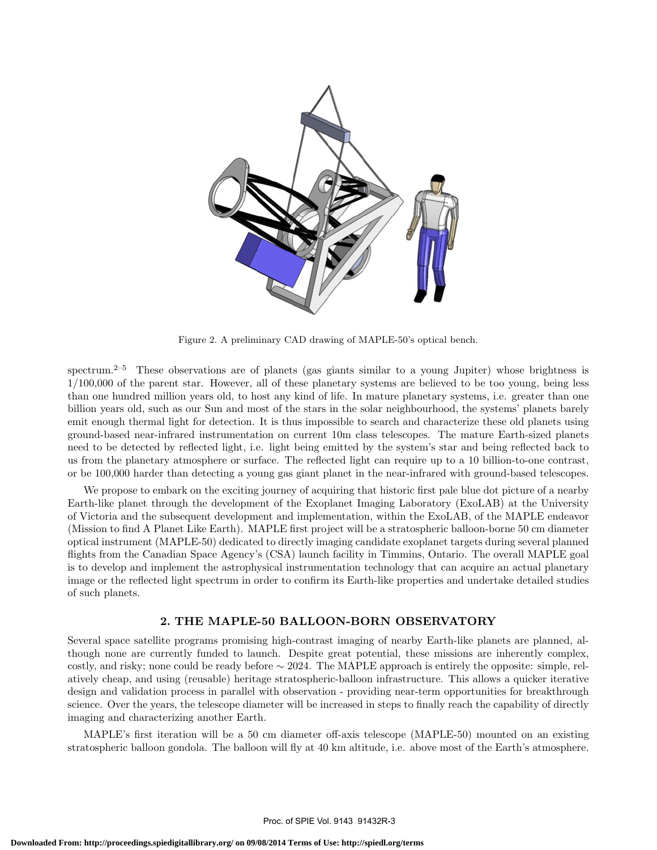

Figure 2. A preliminary CAD drawing of MAPLE-50's optical bench.

spectrum.<sup>2–5</sup> These observations are of planets (gas giants similar to a young Jupiter) whose brightness is 1/100,000 of the parent star. However, all of these planetary systems are believed to be too young, being less than one hundred million years old, to host any kind of life. In mature planetary systems, i.e. greater than one billion years old, such as our Sun and most of the stars in the solar neighbourhood, the systems' planets barely emit enough thermal light for detection. It is thus impossible to search and characterize these old planets using ground-based near-infrared instrumentation on current 10m class telescopes. The mature Earth-sized planets need to be detected by reflected light, i.e. light being emitted by the system's star and being reflected back to us from the planetary atmosphere or surface. The reflected light can require up to a 10 billion-to-one contrast, or be 100,000 harder than detecting a young gas giant planet in the near-infrared with ground-based telescopes.

We propose to embark on the exciting journey of acquiring that historic first pale blue dot picture of a nearby Earth-like planet through the development of the Exoplanet Imaging Laboratory (ExoLAB) at the University of Victoria and the subsequent development and implementation, within the ExoLAB, of the MAPLE endeavor (Mission to find A Planet Like Earth). MAPLE first project will be a stratospheric balloon-borne 50 cm diameter optical instrument (MAPLE-50) dedicated to directly imaging candidate exoplanet targets during several planned flights from the Canadian Space Agency's (CSA) launch facility in Timmins, Ontario. The overall MAPLE goal is to develop and implement the astrophysical instrumentation technology that can acquire an actual planetary image or the reflected light spectrum in order to confirm its Earth-like properties and undertake detailed studies of such planets.

### 2. THE MAPLE-50 BALLOON-BORN OBSERVATORY

Several space satellite programs promising high-contrast imaging of nearby Earth-like planets are planned, although none are currently funded to launch. Despite great potential, these missions are inherently complex, costly, and risky; none could be ready before ∼ 2024. The MAPLE approach is entirely the opposite: simple, relatively cheap, and using (reusable) heritage stratospheric-balloon infrastructure. This allows a quicker iterative design and validation process in parallel with observation - providing near-term opportunities for breakthrough science. Over the years, the telescope diameter will be increased in steps to finally reach the capability of directly imaging and characterizing another Earth.

MAPLE's first iteration will be a 50 cm diameter off-axis telescope (MAPLE-50) mounted on an existing stratospheric balloon gondola. The balloon will fly at 40 km altitude, i.e. above most of the Earth's atmosphere.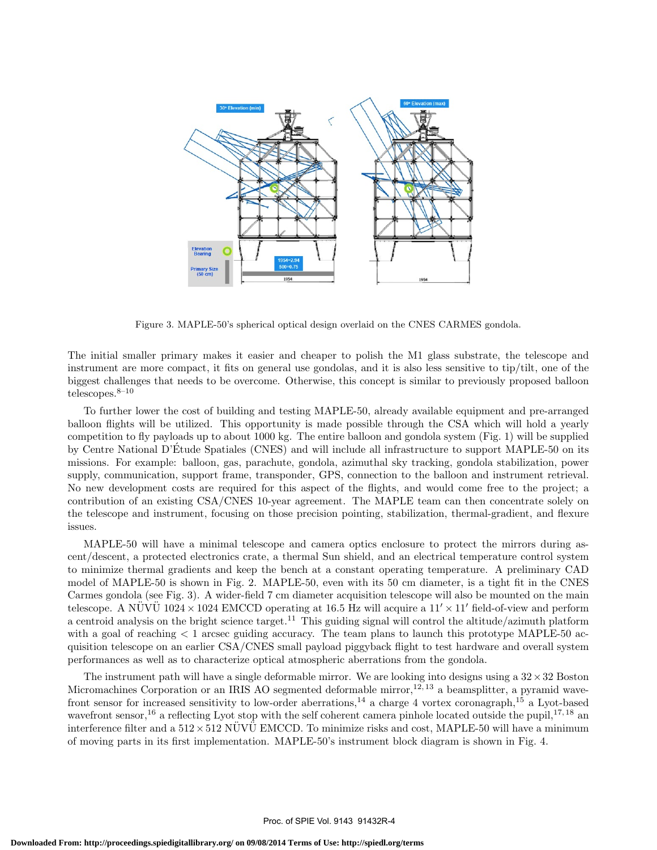

Figure 3. MAPLE-50's spherical optical design overlaid on the CNES CARMES gondola.

The initial smaller primary makes it easier and cheaper to polish the M1 glass substrate, the telescope and instrument are more compact, it fits on general use gondolas, and it is also less sensitive to tip/tilt, one of the biggest challenges that needs to be overcome. Otherwise, this concept is similar to previously proposed balloon telescopes. $8-10$ 

To further lower the cost of building and testing MAPLE-50, already available equipment and pre-arranged balloon flights will be utilized. This opportunity is made possible through the CSA which will hold a yearly competition to fly payloads up to about 1000 kg. The entire balloon and gondola system (Fig. 1) will be supplied by Centre National D'Etude Spatiales (CNES) and will include all infrastructure to support MAPLE-50 on its ´ missions. For example: balloon, gas, parachute, gondola, azimuthal sky tracking, gondola stabilization, power supply, communication, support frame, transponder, GPS, connection to the balloon and instrument retrieval. No new development costs are required for this aspect of the flights, and would come free to the project; a contribution of an existing CSA/CNES 10-year agreement. The MAPLE team can then concentrate solely on the telescope and instrument, focusing on those precision pointing, stabilization, thermal-gradient, and flexure issues.

MAPLE-50 will have a minimal telescope and camera optics enclosure to protect the mirrors during ascent/descent, a protected electronics crate, a thermal Sun shield, and an electrical temperature control system to minimize thermal gradients and keep the bench at a constant operating temperature. A preliminary CAD model of MAPLE-50 is shown in Fig. 2. MAPLE-50, even with its 50 cm diameter, is a tight fit in the CNES Carmes gondola (see Fig. 3). A wider-field 7 cm diameter acquisition telescope will also be mounted on the main telescope. A NUVU 1024  $\times$  1024 EMCCD operating at 16.5 Hz will acquire a 11'  $\times$  11' field-of-view and perform a centroid analysis on the bright science target.<sup>11</sup> This guiding signal will control the altitude/azimuth platform with a goal of reaching  $\lt 1$  arcsec guiding accuracy. The team plans to launch this prototype MAPLE-50 acquisition telescope on an earlier CSA/CNES small payload piggyback flight to test hardware and overall system performances as well as to characterize optical atmospheric aberrations from the gondola.

The instrument path will have a single deformable mirror. We are looking into designs using a  $32 \times 32$  Boston Micromachines Corporation or an IRIS AO segmented deformable mirror,<sup>12, 13</sup> a beamsplitter, a pyramid wavefront sensor for increased sensitivity to low-order aberrations,<sup>14</sup> a charge 4 vortex coronagraph,<sup>15</sup> a Lyot-based wavefront sensor,<sup>16</sup> a reflecting Lyot stop with the self coherent camera pinhole located outside the pupil,  $17, 18$  an interference filter and a  $512\times512$  NUVU EMCCD. To minimize risks and cost, MAPLE-50 will have a minimum of moving parts in its first implementation. MAPLE-50's instrument block diagram is shown in Fig. 4.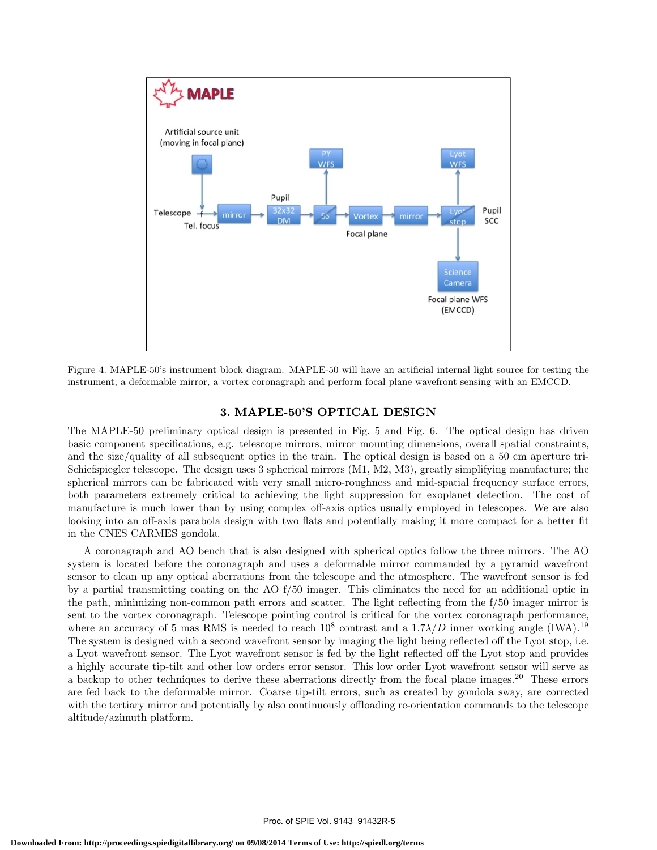

Figure 4. MAPLE-50's instrument block diagram. MAPLE-50 will have an artificial internal light source for testing the instrument, a deformable mirror, a vortex coronagraph and perform focal plane wavefront sensing with an EMCCD.

#### 3. MAPLE-50'S OPTICAL DESIGN

The MAPLE-50 preliminary optical design is presented in Fig. 5 and Fig. 6. The optical design has driven basic component specifications, e.g. telescope mirrors, mirror mounting dimensions, overall spatial constraints, and the size/quality of all subsequent optics in the train. The optical design is based on a 50 cm aperture tri-Schiefspiegler telescope. The design uses 3 spherical mirrors (M1, M2, M3), greatly simplifying manufacture; the spherical mirrors can be fabricated with very small micro-roughness and mid-spatial frequency surface errors, both parameters extremely critical to achieving the light suppression for exoplanet detection. The cost of manufacture is much lower than by using complex off-axis optics usually employed in telescopes. We are also looking into an off-axis parabola design with two flats and potentially making it more compact for a better fit in the CNES CARMES gondola.

A coronagraph and AO bench that is also designed with spherical optics follow the three mirrors. The AO system is located before the coronagraph and uses a deformable mirror commanded by a pyramid wavefront sensor to clean up any optical aberrations from the telescope and the atmosphere. The wavefront sensor is fed by a partial transmitting coating on the AO f/50 imager. This eliminates the need for an additional optic in the path, minimizing non-common path errors and scatter. The light reflecting from the f/50 imager mirror is sent to the vortex coronagraph. Telescope pointing control is critical for the vortex coronagraph performance, where an accuracy of 5 mas RMS is needed to reach  $10^8$  contrast and a  $1.7\lambda/D$  inner working angle (IWA).<sup>19</sup> The system is designed with a second wavefront sensor by imaging the light being reflected off the Lyot stop, i.e. a Lyot wavefront sensor. The Lyot wavefront sensor is fed by the light reflected off the Lyot stop and provides a highly accurate tip-tilt and other low orders error sensor. This low order Lyot wavefront sensor will serve as a backup to other techniques to derive these aberrations directly from the focal plane images.<sup>20</sup> These errors are fed back to the deformable mirror. Coarse tip-tilt errors, such as created by gondola sway, are corrected with the tertiary mirror and potentially by also continuously offloading re-orientation commands to the telescope altitude/azimuth platform.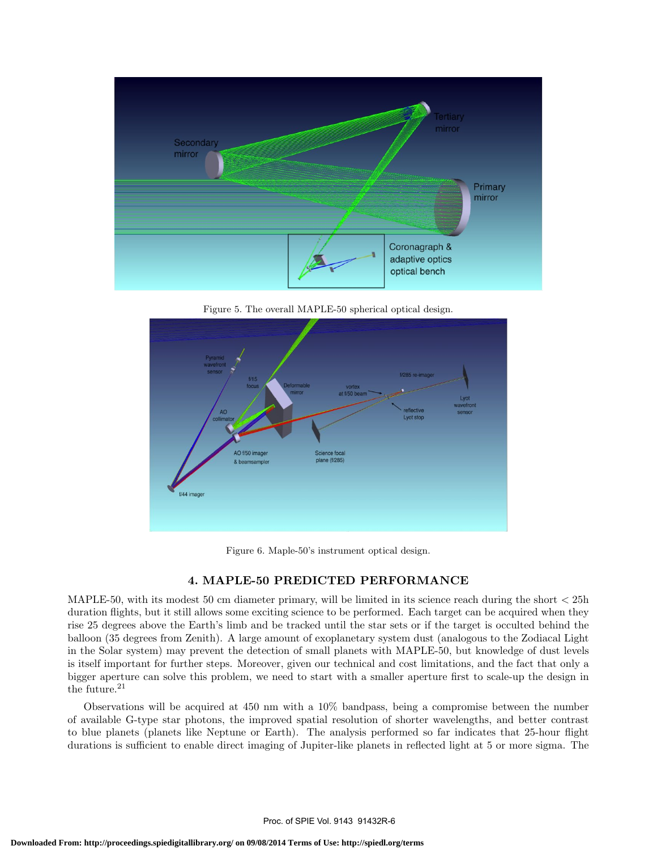

Figure 5. The overall MAPLE-50 spherical optical design.



Figure 6. Maple-50's instrument optical design.

# 4. MAPLE-50 PREDICTED PERFORMANCE

MAPLE-50, with its modest 50 cm diameter primary, will be limited in its science reach during the short  $<$  25h duration flights, but it still allows some exciting science to be performed. Each target can be acquired when they rise 25 degrees above the Earth's limb and be tracked until the star sets or if the target is occulted behind the balloon (35 degrees from Zenith). A large amount of exoplanetary system dust (analogous to the Zodiacal Light in the Solar system) may prevent the detection of small planets with MAPLE-50, but knowledge of dust levels is itself important for further steps. Moreover, given our technical and cost limitations, and the fact that only a bigger aperture can solve this problem, we need to start with a smaller aperture first to scale-up the design in the future.<sup>21</sup>

Observations will be acquired at 450 nm with a 10% bandpass, being a compromise between the number of available G-type star photons, the improved spatial resolution of shorter wavelengths, and better contrast to blue planets (planets like Neptune or Earth). The analysis performed so far indicates that 25-hour flight durations is sufficient to enable direct imaging of Jupiter-like planets in reflected light at 5 or more sigma. The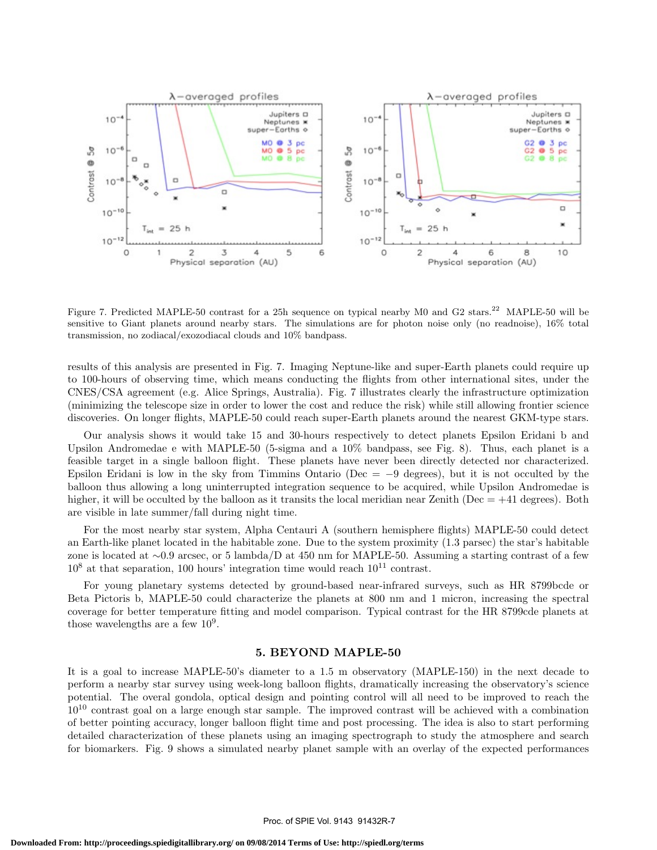

Figure 7. Predicted MAPLE-50 contrast for a 25h sequence on typical nearby M0 and G2 stars.<sup>22</sup> MAPLE-50 will be sensitive to Giant planets around nearby stars. The simulations are for photon noise only (no readnoise), 16% total transmission, no zodiacal/exozodiacal clouds and 10% bandpass.

results of this analysis are presented in Fig. 7. Imaging Neptune-like and super-Earth planets could require up to 100-hours of observing time, which means conducting the flights from other international sites, under the CNES/CSA agreement (e.g. Alice Springs, Australia). Fig. 7 illustrates clearly the infrastructure optimization (minimizing the telescope size in order to lower the cost and reduce the risk) while still allowing frontier science discoveries. On longer flights, MAPLE-50 could reach super-Earth planets around the nearest GKM-type stars.

Our analysis shows it would take 15 and 30-hours respectively to detect planets Epsilon Eridani b and Upsilon Andromedae e with MAPLE-50 (5-sigma and a 10% bandpass, see Fig. 8). Thus, each planet is a feasible target in a single balloon flight. These planets have never been directly detected nor characterized. Epsilon Eridani is low in the sky from Timmins Ontario (Dec =  $-9$  degrees), but it is not occulted by the balloon thus allowing a long uninterrupted integration sequence to be acquired, while Upsilon Andromedae is higher, it will be occulted by the balloon as it transits the local meridian near Zenith ( $Dec = +41$  degrees). Both are visible in late summer/fall during night time.

For the most nearby star system, Alpha Centauri A (southern hemisphere flights) MAPLE-50 could detect an Earth-like planet located in the habitable zone. Due to the system proximity (1.3 parsec) the star's habitable zone is located at ∼0.9 arcsec, or 5 lambda/D at 450 nm for MAPLE-50. Assuming a starting contrast of a few  $10^8$  at that separation, 100 hours' integration time would reach  $10^{11}$  contrast.

For young planetary systems detected by ground-based near-infrared surveys, such as HR 8799bcde or Beta Pictoris b, MAPLE-50 could characterize the planets at 800 nm and 1 micron, increasing the spectral coverage for better temperature fitting and model comparison. Typical contrast for the HR 8799cde planets at those wavelengths are a few  $10^9$ .

## 5. BEYOND MAPLE-50

It is a goal to increase MAPLE-50's diameter to a 1.5 m observatory (MAPLE-150) in the next decade to perform a nearby star survey using week-long balloon flights, dramatically increasing the observatory's science potential. The overal gondola, optical design and pointing control will all need to be improved to reach the  $10^{10}$  contrast goal on a large enough star sample. The improved contrast will be achieved with a combination of better pointing accuracy, longer balloon flight time and post processing. The idea is also to start performing detailed characterization of these planets using an imaging spectrograph to study the atmosphere and search for biomarkers. Fig. 9 shows a simulated nearby planet sample with an overlay of the expected performances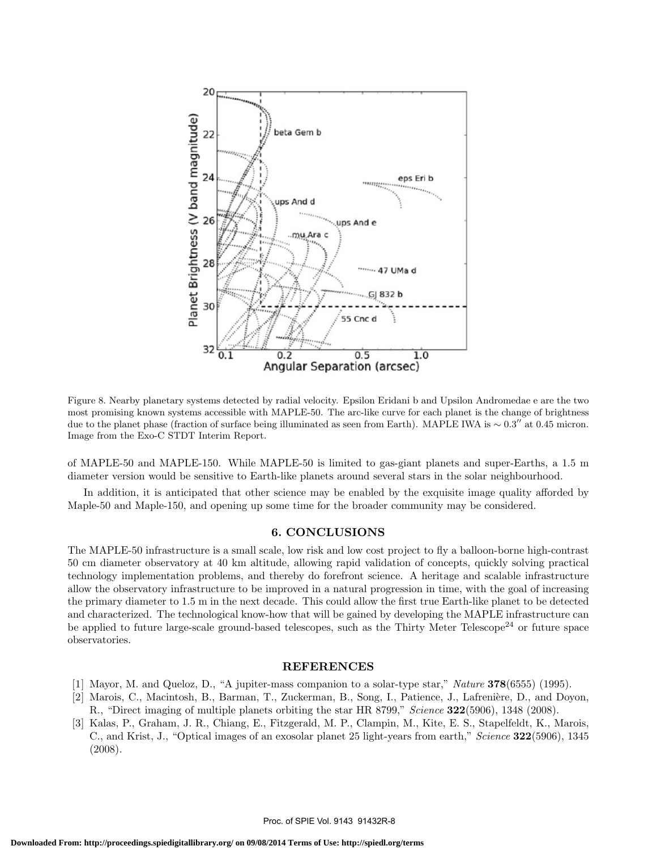

Figure 8. Nearby planetary systems detected by radial velocity. Epsilon Eridani b and Upsilon Andromedae e are the two most promising known systems accessible with MAPLE-50. The arc-like curve for each planet is the change of brightness due to the planet phase (fraction of surface being illuminated as seen from Earth). MAPLE IWA is ~ 0.3" at 0.45 micron. Image from the Exo-C STDT Interim Report.

of MAPLE-50 and MAPLE-150. While MAPLE-50 is limited to gas-giant planets and super-Earths, a 1.5 m diameter version would be sensitive to Earth-like planets around several stars in the solar neighbourhood.

In addition, it is anticipated that other science may be enabled by the exquisite image quality afforded by Maple-50 and Maple-150, and opening up some time for the broader community may be considered.

## 6. CONCLUSIONS

The MAPLE-50 infrastructure is a small scale, low risk and low cost project to fly a balloon-borne high-contrast 50 cm diameter observatory at 40 km altitude, allowing rapid validation of concepts, quickly solving practical technology implementation problems, and thereby do forefront science. A heritage and scalable infrastructure allow the observatory infrastructure to be improved in a natural progression in time, with the goal of increasing the primary diameter to 1.5 m in the next decade. This could allow the first true Earth-like planet to be detected and characterized. The technological know-how that will be gained by developing the MAPLE infrastructure can be applied to future large-scale ground-based telescopes, such as the Thirty Meter Telescope<sup>24</sup> or future space observatories.

#### REFERENCES

- [1] Mayor, M. and Queloz, D., "A jupiter-mass companion to a solar-type star," Nature 378(6555) (1995).
- [2] Marois, C., Macintosh, B., Barman, T., Zuckerman, B., Song, I., Patience, J., Lafrenière, D., and Doyon, R., "Direct imaging of multiple planets orbiting the star HR 8799," Science 322(5906), 1348 (2008).
- [3] Kalas, P., Graham, J. R., Chiang, E., Fitzgerald, M. P., Clampin, M., Kite, E. S., Stapelfeldt, K., Marois, C., and Krist, J., "Optical images of an exosolar planet 25 light-years from earth," Science 322(5906), 1345 (2008).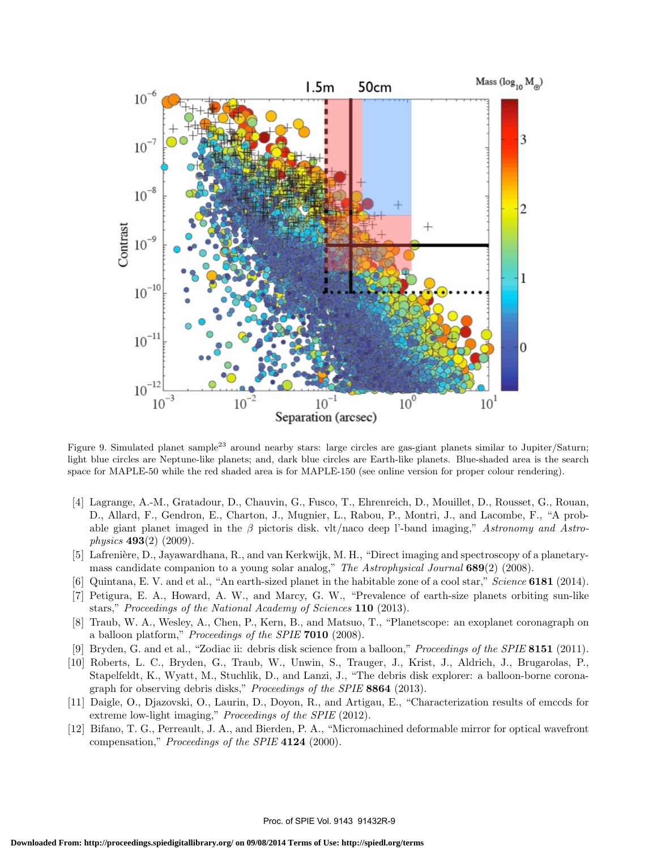

Figure 9. Simulated planet sample<sup>23</sup> around nearby stars: large circles are gas-giant planets similar to Jupiter/Saturn; light blue circles are Neptune-like planets; and, dark blue circles are Earth-like planets. Blue-shaded area is the search space for MAPLE-50 while the red shaded area is for MAPLE-150 (see online version for proper colour rendering).

- [4] Lagrange, A.-M., Gratadour, D., Chauvin, G., Fusco, T., Ehrenreich, D., Mouillet, D., Rousset, G., Rouan, D., Allard, F., Gendron, E., Charton, J., Mugnier, L., Rabou, P., Montri, J., and Lacombe, F., "A probable giant planet imaged in the  $\beta$  pictoris disk. vlt/naco deep l'-band imaging," Astronomy and Astrophysics 493(2) (2009).
- [5] Lafrenière, D., Jayawardhana, R., and van Kerkwijk, M. H., "Direct imaging and spectroscopy of a planetarymass candidate companion to a young solar analog," The Astrophysical Journal 689(2) (2008).
- [6] Quintana, E. V. and et al., "An earth-sized planet in the habitable zone of a cool star," Science 6181 (2014).
- [7] Petigura, E. A., Howard, A. W., and Marcy, G. W., "Prevalence of earth-size planets orbiting sun-like stars," Proceedings of the National Academy of Sciences 110 (2013).
- [8] Traub, W. A., Wesley, A., Chen, P., Kern, B., and Matsuo, T., "Planetscope: an exoplanet coronagraph on a balloon platform," Proceedings of the SPIE 7010 (2008).
- [9] Bryden, G. and et al., "Zodiac ii: debris disk science from a balloon," Proceedings of the SPIE 8151 (2011).
- [10] Roberts, L. C., Bryden, G., Traub, W., Unwin, S., Trauger, J., Krist, J., Aldrich, J., Brugarolas, P., Stapelfeldt, K., Wyatt, M., Stuchlik, D., and Lanzi, J., "The debris disk explorer: a balloon-borne coronagraph for observing debris disks," Proceedings of the SPIE 8864 (2013).
- [11] Daigle, O., Djazovski, O., Laurin, D., Doyon, R., and Artigau, E., "Characterization results of emccds for extreme low-light imaging," *Proceedings of the SPIE* (2012).
- [12] Bifano, T. G., Perreault, J. A., and Bierden, P. A., "Micromachined deformable mirror for optical wavefront compensation," Proceedings of the SPIE 4124 (2000).